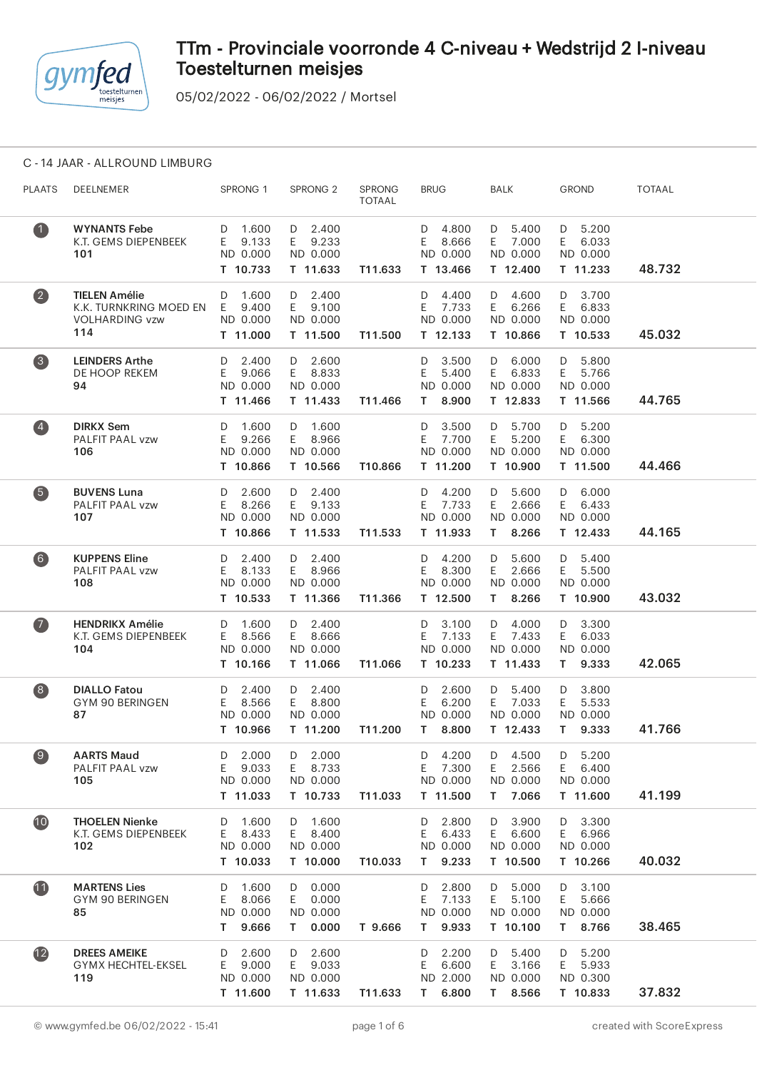

05/02/2022 - 06/02/2022 / Mortsel

### C - 14 JAAR - ALLROUND LIMBURG

| <b>PLAATS</b>      | DEELNEMER                                                                       | SPRONG 1                                             | SPRONG <sub>2</sub>                                  | <b>SPRONG</b><br><b>TOTAAL</b> | <b>BRUG</b>                                          | <b>BALK</b>                                            | <b>GROND</b>                                         | <b>TOTAAL</b> |  |
|--------------------|---------------------------------------------------------------------------------|------------------------------------------------------|------------------------------------------------------|--------------------------------|------------------------------------------------------|--------------------------------------------------------|------------------------------------------------------|---------------|--|
| $\bullet$          | <b>WYNANTS Febe</b><br>K.T. GEMS DIEPENBEEK<br>101                              | D 1.600<br>E 9.133<br>ND 0.000<br>T 10.733           | D 2.400<br>E 9.233<br>ND 0.000<br>T 11.633           | T11.633                        | D 4.800<br>E 8.666<br>ND 0.000<br>T 13.466           | $D = 5.400$<br>E 7.000<br>ND 0.000<br>T 12.400         | $D = 5.200$<br>E 6.033<br>ND 0.000<br>T 11.233       | 48.732        |  |
| $\boldsymbol{2}$   | <b>TIELEN Amélie</b><br>K.K. TURNKRING MOED EN E 9.400<br>VOLHARDING vzw<br>114 | D 1.600<br>ND 0.000<br>T 11.000                      | D 2.400<br>E 9.100<br>ND 0.000<br>T 11.500           | T11.500                        | D 4.400<br>E 7.733<br>ND 0.000<br>T 12.133           | D 4.600<br>E 6.266<br>ND 0.000<br>T 10.866             | D 3.700<br>E 6.833<br>ND 0.000<br>T 10.533           | 45.032        |  |
| $\left( 3 \right)$ | <b>LEINDERS Arthe</b><br>DE HOOP REKEM<br>94                                    | $D = 2.400$<br>E 9.066<br>ND 0.000<br>T 11.466       | $D = 2.600$<br>E 8.833<br>ND 0.000<br>T 11.433       | T11.466                        | D 3.500<br>5.400<br>E.<br>ND 0.000<br>T 8.900        | D 6.000<br>E 6.833<br>ND 0.000<br>T 12.833             | D 5.800<br>E 5.766<br>ND 0.000<br>T 11.566           | 44.765        |  |
| $\left( 4\right)$  | <b>DIRKX Sem</b><br>PALFIT PAAL vzw<br>106                                      | D 1.600<br>E 9.266<br>ND 0.000<br>T 10.866           | D 1.600<br>E 8.966<br>ND 0.000<br>T 10.566           | T10.866                        | 3.500<br>D<br>E 7.700<br>ND 0.000<br>T 11.200        | D 5.700<br>E 5.200<br>ND 0.000<br>T 10.900             | D 5.200<br>E 6.300<br>ND 0.000<br>T 11.500           | 44.466        |  |
| $\left(5\right)$   | <b>BUVENS Luna</b><br>PALFIT PAAL vzw<br>107                                    | $D = 2.600$<br>E 8.266<br>ND 0.000<br>T 10.866       | D 2.400<br>E 9.133<br>ND 0.000<br>T 11.533           | T11.533                        | D 4.200<br>E 7.733<br>ND 0.000<br>T 11.933           | D 5.600<br>E 2.666<br>ND 0.000<br>T 8.266              | D 6.000<br>E 6.433<br>ND 0.000<br>T 12.433           | 44.165        |  |
| $\left( 6\right)$  | <b>KUPPENS Eline</b><br>PALFIT PAAL vzw<br>108                                  | $D = 2.400$<br>E 8.133<br>ND 0.000<br>T 10.533       | D 2.400<br>E 8.966<br>ND 0.000<br>T 11.366           | T11.366                        | D 4.200<br>E 8.300<br>ND 0.000<br>T 12.500           | D 5.600<br>E 2.666<br>ND 0.000<br>T 8.266              | D 5.400<br>5.500<br>E.<br>ND 0.000<br>T 10.900       | 43.032        |  |
| $\sqrt{2}$         | <b>HENDRIKX Amélie</b><br>K.T. GEMS DIEPENBEEK<br>104                           | D 1.600<br>E 8.566<br>ND 0.000<br>T 10.166           | D 2.400<br>E 8.666<br>ND 0.000<br>T 11.066           | T11.066                        | D 3.100<br>E 7.133<br>ND 0.000<br>T 10.233           | D 4.000<br>E 7.433<br>ND 0.000<br>T 11.433             | 3.300<br>D<br>6.033<br>E.<br>ND 0.000<br>T 9.333     | 42.065        |  |
| $\left( 8\right)$  | <b>DIALLO Fatou</b><br>GYM 90 BERINGEN<br>87                                    | $D = 2.400$<br>E 8.566<br>ND 0.000<br>T 10.966       | D 2.400<br>E 8.800<br>ND 0.000<br>T 11.200           | T11.200                        | $D = 2.600$<br>6.200<br>E.<br>ND 0.000<br>T 8.800    | D 5.400<br>E 7.033<br>ND 0.000<br>T 12.433             | D 3.800<br>5.533<br>E.<br>ND 0.000<br>T 9.333        | 41.766        |  |
| 9                  | <b>AARTS Maud</b><br>PALFIT PAAL vzw<br>105                                     | D 2.000<br>9.033<br>E.<br>ND 0.000<br>T 11.033       | D 2.000<br>8.733<br>E.<br>ND 0.000<br>T 10.733       | T11.033                        | D<br>Ε<br>7.300<br>ND 0.000<br>T 11.500              | 4.200 D 4.500<br>E<br>2.566<br>ND 0.000<br>7.066<br>T. | 5.200<br>D<br>Ε<br>6.400<br>ND 0.000<br>T 11.600     | 41.199        |  |
| 10                 | <b>THOELEN Nienke</b><br>K.T. GEMS DIEPENBEEK<br>102                            | 1.600<br>D<br>8.433<br>E.<br>ND 0.000<br>T 10.033    | 1.600<br>D<br>8.400<br>E.<br>ND 0.000<br>T 10.000    | T10.033                        | 2.800<br>D<br>E.<br>6.433<br>ND 0.000<br>9.233<br>T. | 3.900<br>D<br>6.600<br>E.<br>ND 0.000<br>T 10.500      | 3.300<br>D<br>6.966<br>E.<br>ND 0.000<br>T 10.266    | 40.032        |  |
| 11                 | <b>MARTENS Lies</b><br>GYM 90 BERINGEN<br>85                                    | 1.600<br>D<br>8.066<br>E.<br>ND 0.000<br>9.666<br>T. | 0.000<br>D<br>0.000<br>E.<br>ND 0.000<br>0.000<br>T. | T 9.666                        | 2.800<br>D<br>7.133<br>E.<br>ND 0.000<br>9.933<br>T. | 5.000<br>D<br>5.100<br>E.<br>ND 0.000<br>T 10.100      | 3.100<br>D<br>5.666<br>E.<br>ND 0.000<br>8.766<br>T. | 38.465        |  |
| $\mathbf{12}$      | <b>DREES AMEIKE</b><br>GYMX HECHTEL-EKSEL<br>119                                | 2.600<br>D<br>9.000<br>E.<br>ND 0.000<br>T 11.600    | 2.600<br>D<br>9.033<br>E.<br>ND 0.000<br>T 11.633    | T11.633                        | 2.200<br>D<br>E.<br>6.600<br>ND 2.000<br>T 6.800     | 5.400<br>D<br>E.<br>3.166<br>ND 0.000<br>T 8.566       | 5.200<br>D<br>5.933<br>E.<br>ND 0.300<br>T 10.833    | 37.832        |  |
|                    |                                                                                 |                                                      |                                                      |                                |                                                      |                                                        |                                                      |               |  |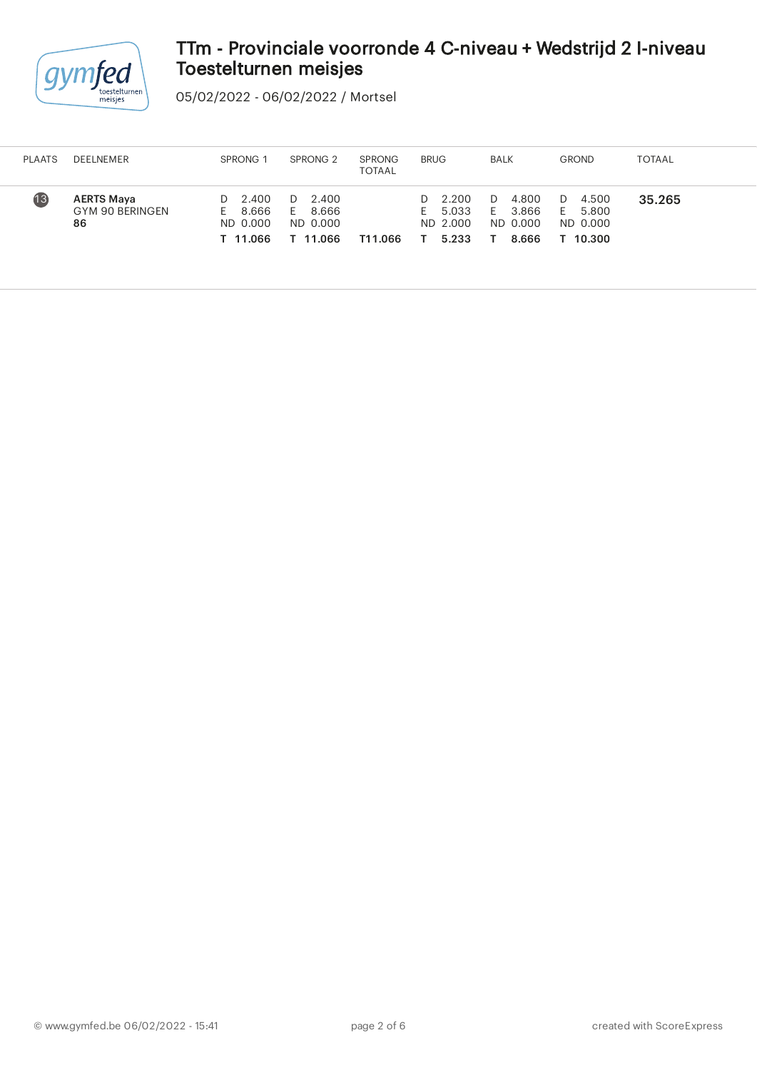

05/02/2022 - 06/02/2022 / Mortsel

| <b>PLAATS</b> | <b>DEELNEMER</b>                           | SPRONG <sub>1</sub>                                | SPRONG <sub>2</sub>                               | <b>SPRONG</b><br><b>TOTAAL</b> | <b>BRUG</b>                                     | BALK                                           | <b>GROND</b>                                    | TOTAAL |
|---------------|--------------------------------------------|----------------------------------------------------|---------------------------------------------------|--------------------------------|-------------------------------------------------|------------------------------------------------|-------------------------------------------------|--------|
| 13            | <b>AERTS Maya</b><br>GYM 90 BERINGEN<br>86 | 2.400<br>D.<br>8.666<br>Е.<br>ND 0.000<br>T 11.066 | 2.400<br>D<br>8.666<br>E.<br>ND 0.000<br>T 11.066 | T11.066                        | $D = 2.200$<br>5.033<br>Ŀ.<br>ND 2.000<br>5.233 | 4.800<br>D<br>3.866<br>E.<br>ND 0.000<br>8.666 | 4.500<br>D<br>5.800<br>E.<br>ND 0.000<br>10.300 | 35.265 |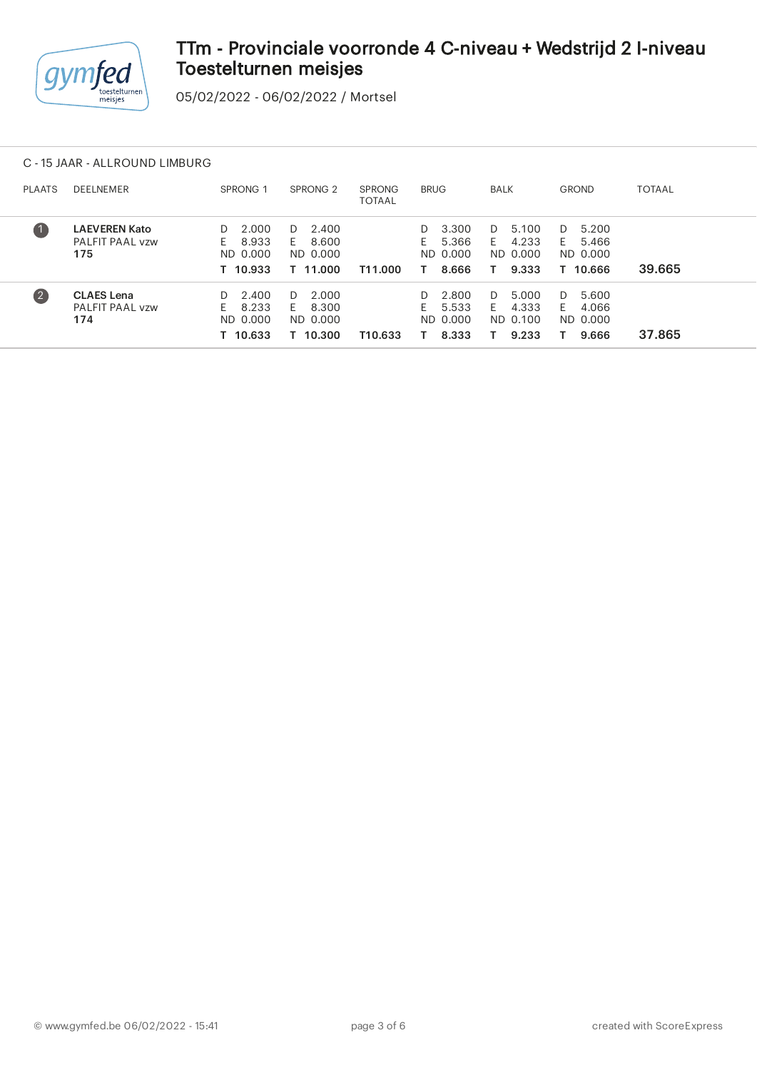

05/02/2022 - 06/02/2022 / Mortsel

### C - 15 JAAR - ALLROUND LIMBURG

| <b>PLAATS</b>                                  | <b>DEELNEMER</b>                               | SPRONG <sub>1</sub>                                | SPRONG <sub>2</sub>                                | <b>SPRONG</b><br><b>TOTAAL</b> | <b>BRUG</b>                                     | <b>BALK</b>                                     | <b>GROND</b>                                       | <b>TOTAAL</b> |
|------------------------------------------------|------------------------------------------------|----------------------------------------------------|----------------------------------------------------|--------------------------------|-------------------------------------------------|-------------------------------------------------|----------------------------------------------------|---------------|
| $\left( \begin{matrix} 1 \end{matrix} \right)$ | <b>LAEVEREN Kato</b><br>PALFIT PAAL vzw<br>175 | 2.000<br>D.<br>8.933<br>F.<br>ND 0.000<br>T 10.933 | 2.400<br>D.<br>8.600<br>E.<br>ND 0.000<br>T 11.000 | T11.000                        | 3.300<br>D.<br>5.366<br>F.<br>ND 0.000<br>8.666 | 5.100<br>D.<br>4.233<br>H<br>ND 0.000<br>9.333  | 5.200<br>D.<br>5.466<br>F.<br>ND 0.000<br>T 10.666 | 39.665        |
| $\left( 2\right)$                              | <b>CLAES</b> Lena<br>PALFIT PAAL vzw<br>174    | 2.400<br>D.<br>8.233<br>F.<br>ND 0.000<br>T 10.633 | 2.000<br>D.<br>8.300<br>F.<br>ND 0.000<br>T 10.300 | T10.633                        | 2.800<br>D.<br>5.533<br>F.<br>ND 0.000<br>8.333 | 5.000<br>D.<br>4.333<br>F.<br>ND 0.100<br>9.233 | 5.600<br>D.<br>4.066<br>F.<br>ND 0.000<br>9.666    | 37.865        |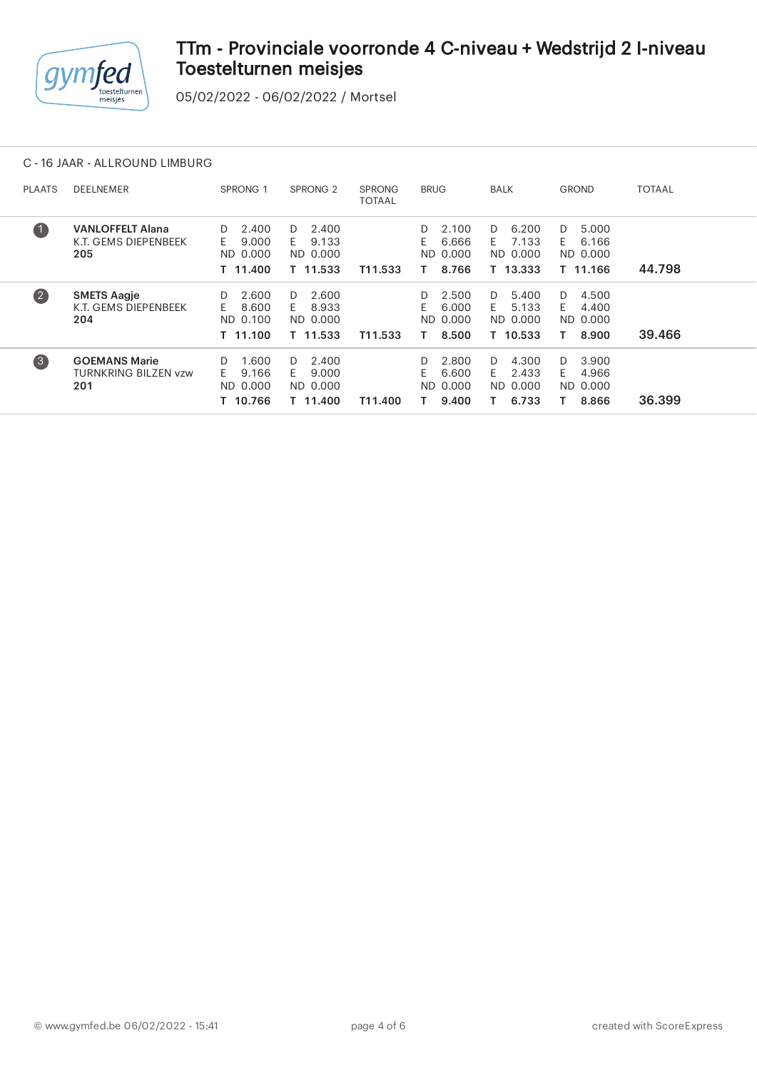

05/02/2022 - 06/02/2022 / Mortsel

#### C - 16 JAAR - ALLROUND LIMBURG

| <b>PLAATS</b>     | <b>DEELNEMER</b>                                       | SPRONG 1                                           | SPRONG <sub>2</sub>                                | <b>SPRONG</b><br>TOTAAL | <b>BRUG</b>                                        | <b>BALK</b>                                        | <b>GROND</b>                                      | <b>TOTAAL</b> |
|-------------------|--------------------------------------------------------|----------------------------------------------------|----------------------------------------------------|-------------------------|----------------------------------------------------|----------------------------------------------------|---------------------------------------------------|---------------|
| $\bullet$         | <b>VANLOFFELT Alana</b><br>K.T. GEMS DIEPENBEEK<br>205 | 2.400<br>D<br>E.<br>9.000<br>ND 0.000<br>T 11.400  | 2.400<br>D.<br>9.133<br>F.<br>ND 0.000<br>T 11.533 | T11.533                 | 2.100<br>D<br>F.<br>6.666<br>0.000<br>ND.<br>8.766 | 6.200<br>D<br>7.133<br>E<br>ND 0.000<br>T 13.333   | 5.000<br>D<br>6.166<br>F.<br>ND 0.000<br>T 11.166 | 44.798        |
| $\left( 2\right)$ | <b>SMETS Aagje</b><br>K.T. GEMS DIEPENBEEK<br>204      | 2.600<br>D<br>8.600<br>E.<br>ND 0.100<br>T 11.100  | 2.600<br>D.<br>8.933<br>E.<br>ND 0.000<br>T 11.533 | T11.533                 | 2.500<br>D<br>E.<br>6.000<br>ND 0.000<br>8.500     | 5.400<br>D.<br>5.133<br>F.<br>ND 0.000<br>T 10.533 | 4.500<br>D.<br>4.400<br>F.<br>ND 0.000<br>8.900   | 39.466        |
| $\left(3\right)$  | <b>GOEMANS Marie</b><br>TURNKRING BILZEN vzw<br>201    | 1.600<br>D.<br>F.<br>9.166<br>ND 0.000<br>T 10.766 | 2.400<br>D.<br>9.000<br>F.<br>ND 0.000<br>T 11.400 | T11.400                 | 2.800<br>D.<br>F.<br>6.600<br>ND 0.000<br>9.400    | 4.300<br>D.<br>2.433<br>F.<br>ND 0.000<br>6.733    | 3.900<br>D.<br>4.966<br>F.<br>ND 0.000<br>8.866   | 36.399        |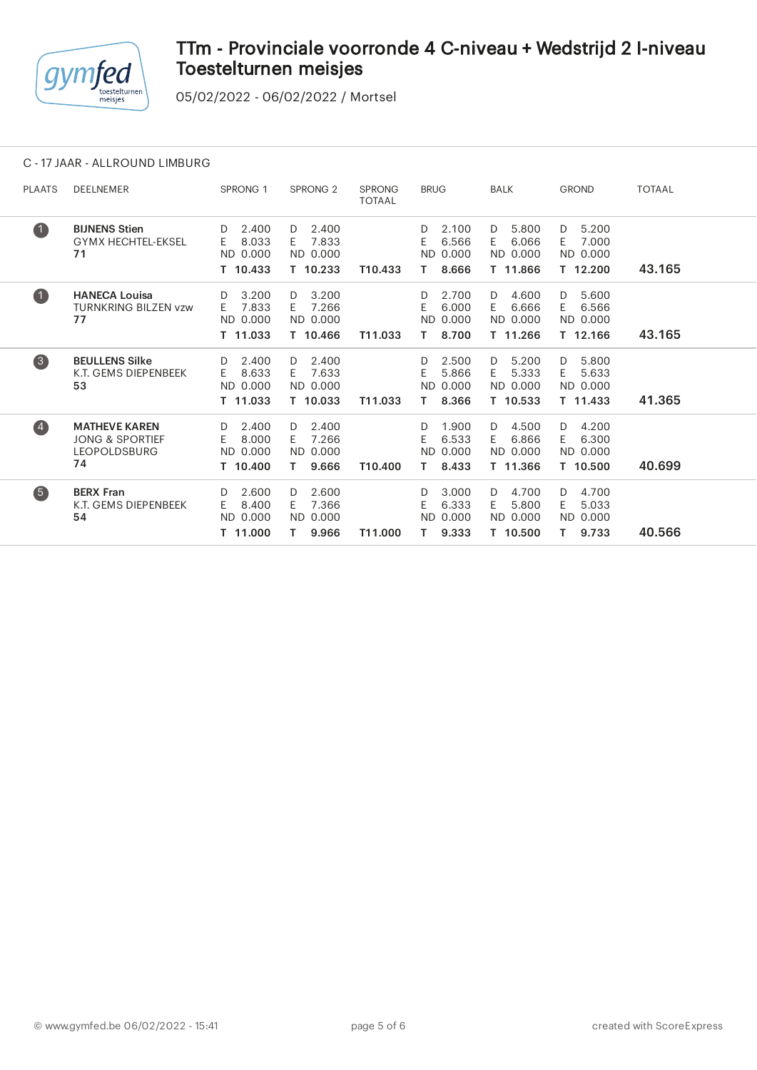

05/02/2022 - 06/02/2022 / Mortsel

### C - 17 JAAR - ALLROUND LIMBURG

| <b>PLAATS</b>    | <b>DEELNEMER</b>                                                     | SPRONG <sub>1</sub>                               | SPRONG <sub>2</sub>                                  | <b>SPRONG</b><br><b>TOTAAL</b> | <b>BRUG</b>                                           | <b>BALK</b>                                        | <b>GROND</b>                                         | <b>TOTAAL</b> |  |
|------------------|----------------------------------------------------------------------|---------------------------------------------------|------------------------------------------------------|--------------------------------|-------------------------------------------------------|----------------------------------------------------|------------------------------------------------------|---------------|--|
| $\bullet$        | <b>BIJNENS Stien</b><br><b>GYMX HECHTEL-EKSEL</b><br>71              | 2.400<br>D<br>8.033<br>E.<br>ND 0.000<br>T 10.433 | 2.400<br>D<br>7.833<br>F.<br>ND 0.000<br>T 10.233    | T10.433                        | 2.100<br>D.<br>6.566<br>E.<br>ND 0.000<br>8.666<br>Τ. | 5.800<br>D<br>6.066<br>E.<br>ND 0.000<br>T 11.866  | 5.200<br>D<br>7.000<br>E.<br>ND 0.000<br>T 12.200    | 43.165        |  |
| $\bullet$        | <b>HANECA Louisa</b><br><b>TURNKRING BILZEN vzw</b><br>77            | 3.200<br>D<br>7.833<br>E.<br>ND 0.000<br>T 11.033 | 3.200<br>D<br>7.266<br>E.<br>ND 0.000<br>T 10.466    | T11.033                        | 2.700<br>D.<br>E.<br>6.000<br>ND 0.000<br>8.700<br>Τ. | 4.600<br>D<br>6.666<br>E.<br>ND 0.000<br>T 11.266  | 5.600<br>D<br>E.<br>6.566<br>ND 0.000<br>T 12.166    | 43.165        |  |
| 3                | <b>BEULLENS Silke</b><br>K.T. GEMS DIEPENBEEK<br>53                  | 2.400<br>D<br>8.633<br>E.<br>ND 0.000<br>T 11.033 | 2.400<br>D<br>7.633<br>E.<br>ND 0.000<br>T 10.033    | T11.033                        | 2.500<br>D.<br>F.<br>5.866<br>ND 0.000<br>8.366<br>Τ. | 5.200<br>D<br>5.333<br>E.<br>ND 0.000<br>T 10.533  | 5.800<br>D<br>5.633<br>E.<br>ND 0.000<br>T 11.433    | 41.365        |  |
| $\overline{4}$   | <b>MATHEVE KAREN</b><br>JONG & SPORTIEF<br><b>LEOPOLDSBURG</b><br>74 | 2.400<br>D<br>8.000<br>E.<br>ND 0.000<br>T 10.400 | 2.400<br>D<br>7.266<br>E.<br>ND 0.000<br>9.666<br>Τ. | T10.400                        | 1.900<br>D.<br>6.533<br>E.<br>ND 0.000<br>8.433<br>T. | 4.500<br>D.<br>6.866<br>E.<br>ND 0.000<br>T 11.366 | 4.200<br>D<br>6.300<br>E.<br>ND 0.000<br>T 10.500    | 40.699        |  |
| $\left(5\right)$ | <b>BERX Fran</b><br>K.T. GEMS DIEPENBEEK<br>54                       | 2.600<br>D<br>8.400<br>E.<br>ND 0.000<br>T 11.000 | 2.600<br>D<br>7.366<br>E.<br>ND 0.000<br>9.966<br>T. | T11.000                        | 3.000<br>D<br>E<br>6.333<br>ND 0.000<br>9.333<br>T.   | 4.700<br>D<br>5.800<br>E.<br>ND 0.000<br>T 10.500  | 4.700<br>D<br>5.033<br>E.<br>ND 0.000<br>9.733<br>Τ. | 40.566        |  |